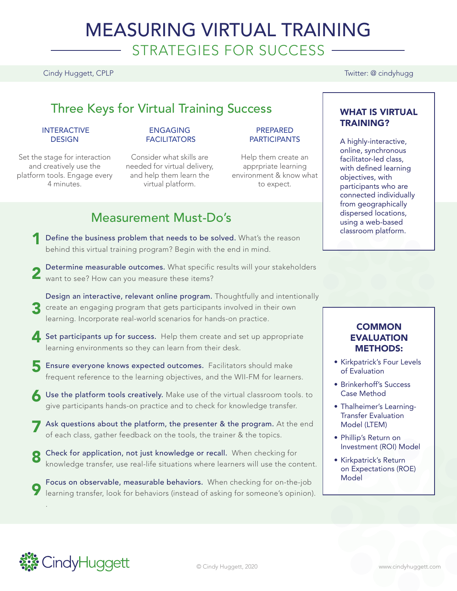# MEASURING VIRTUAL TRAINING STRATEGIES FOR SUCCESS

### Cindy Huggett, CPLP Twitter: @ cindyhugg

# Three Keys for Virtual Training Success

#### INTERACTIVE **DESIGN**

Set the stage for interaction and creatively use the platform tools. Engage every 4 minutes.

#### ENGAGING **FACILITATORS**

Consider what skills are needed for virtual delivery, and help them learn the virtual platform.

#### PREPARED **PARTICIPANTS**

Help them create an apprpriate learning environment & know what to expect.

# Measurement Must-Do's

- **1** Define the business problem that needs to be solved. What's the reason behind this virtual training program? Begin with the end in mind.
- Determine measurable outcomes. What specific results will your stakeholders **2** Determine measurable outcomes. What specific<br>want to see? How can you measure these items?
- Design an interactive, relevant online program. Thoughtfully and intentionally 3 create an engaging program that gets participants involved in their own learning. Incorporate real-world scenarios for hands-on practice.
- Set participants up for success. Help them create and set up appropriate learning environments so they can learn from their desk.
- **5** Ensure everyone knows expected outcomes. Facilitators should make frequent reference to the learning objectives, and the WII-FM for learners.
- Use the platform tools creatively. Make use of the virtual classroom tools, to<br>
Give participants hands on practice and to check for knowledge transfer give participants hands-on practice and to check for knowledge transfer.
- Ask questions about the platform, the presenter & the program. At the end<br>of each class, gather feedback on the tools, the trainer & the topics of each class, gather feedback on the tools, the trainer & the topics.
- Check for application, not just knowledge or recall. When checking for knowledge transfer, use real-life situations where learners will use the content. 8
- Focus on observable, measurable behaviors. When checking for on-the-job learning transfer, look for behaviors (instead of asking for someone's opinion). 9

### WHAT IS VIRTUAL TRAINING?

A highly-interactive, online, synchronous facilitator-led class, with defined learning objectives, with participants who are connected individually from geographically dispersed locations, using a web-based classroom platform.

### **COMMON** EVALUATION METHODS:

- Kirkpatrick's Four Levels of Evaluation
- Brinkerhoff's Success Case Method
- Thalheimer's Learning-Transfer Evaluation Model (LTEM)
- Phillip's Return on Investment (ROI) Model
- Kirkpatrick's Return on Expectations (ROE) Model



.